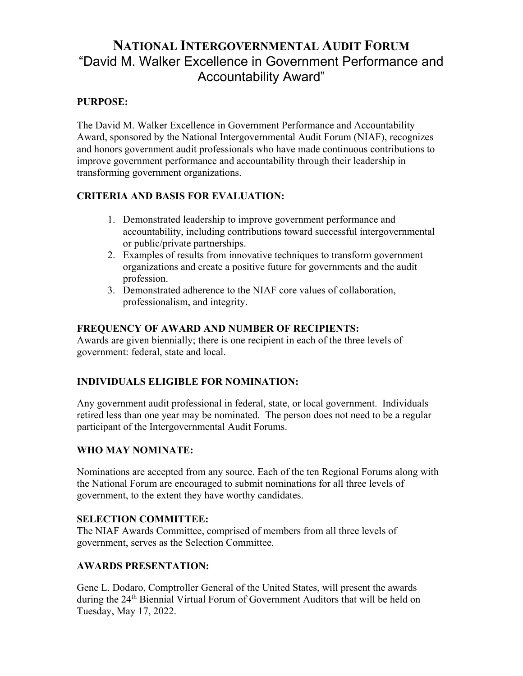### **NATIONAL INTERGOVERNMENTAL AUDIT FORUM** "David M. Walker Excellence in Government Performance and Accountability Award"

#### **PURPOSE:**

The David M. Walker Excellence in Government Performance and Accountability Award, sponsored by the National Intergovernmental Audit Forum (NIAF), recognizes and honors government audit professionals who have made continuous contributions to improve government performance and accountability through their leadership in transforming government organizations.

#### **CRITERIA AND BASIS FOR EVALUATION:**

- 1. Demonstrated leadership to improve government performance and accountability, including contributions toward successful intergovernmental or public/private partnerships.
- 2. Examples of results from innovative techniques to transform government organizations and create a positive future for governments and the audit profession.
- 3. Demonstrated adherence to the NIAF core values of collaboration, professionalism, and integrity.

#### **FREQUENCY OF AWARD AND NUMBER OF RECIPIENTS:**

Awards are given biennially; there is one recipient in each of the three levels of government: federal, state and local.

#### **INDIVIDUALS ELIGIBLE FOR NOMINATION:**

Any government audit professional in federal, state, or local government. Individuals retired less than one year may be nominated. The person does not need to be a regular participant of the Intergovernmental Audit Forums.

#### **WHO MAY NOMINATE:**

Nominations are accepted from any source. Each of the ten Regional Forums along with the National Forum are encouraged to submit nominations for all three levels of government, to the extent they have worthy candidates.

#### **SELECTION COMMITTEE:**

The NIAF Awards Committee, comprised of members from all three levels of government, serves as the Selection Committee.

#### **AWARDS PRESENTATION:**

Gene L. Dodaro, Comptroller General of the United States, will present the awards during the 24<sup>th</sup> Biennial Virtual Forum of Government Auditors that will be held on Tuesday, May 17, 2022.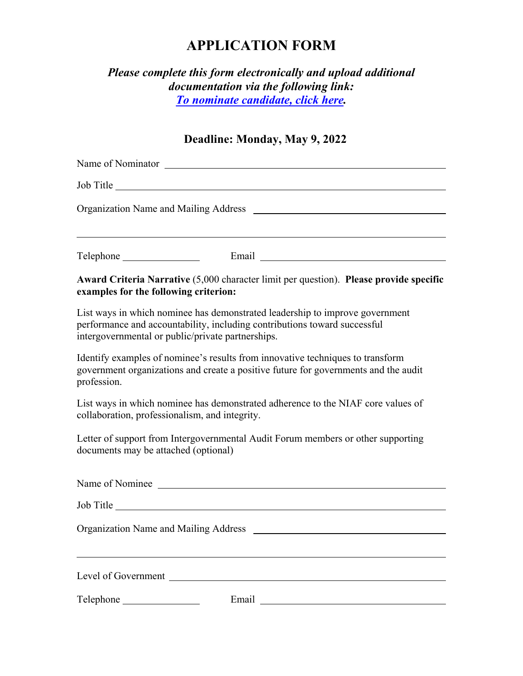# **APPLICATION FORM**

### *Please complete this form electronically and upload additional documentation via the following link: [To nominate candidate, click here.](https://auditforum.org/dmw-nomination-form/)*

## **Deadline: Monday, May 9, 2022**

|                                                | Name of Nominator Name of Nominator                                                                                                                                                                            |
|------------------------------------------------|----------------------------------------------------------------------------------------------------------------------------------------------------------------------------------------------------------------|
| Organization Name and Mailing Address _        |                                                                                                                                                                                                                |
|                                                |                                                                                                                                                                                                                |
| examples for the following criterion:          | Award Criteria Narrative (5,000 character limit per question). Please provide specific                                                                                                                         |
|                                                | List ways in which nominee has demonstrated leadership to improve government<br>performance and accountability, including contributions toward successful<br>intergovernmental or public/private partnerships. |
| profession.                                    | Identify examples of nominee's results from innovative techniques to transform<br>government organizations and create a positive future for governments and the audit                                          |
| collaboration, professionalism, and integrity. | List ways in which nominee has demonstrated adherence to the NIAF core values of                                                                                                                               |
| documents may be attached (optional)           | Letter of support from Intergovernmental Audit Forum members or other supporting                                                                                                                               |
|                                                | Name of Nominee                                                                                                                                                                                                |
|                                                |                                                                                                                                                                                                                |
| <b>Organization Name and Mailing Address</b>   |                                                                                                                                                                                                                |
|                                                |                                                                                                                                                                                                                |
|                                                |                                                                                                                                                                                                                |